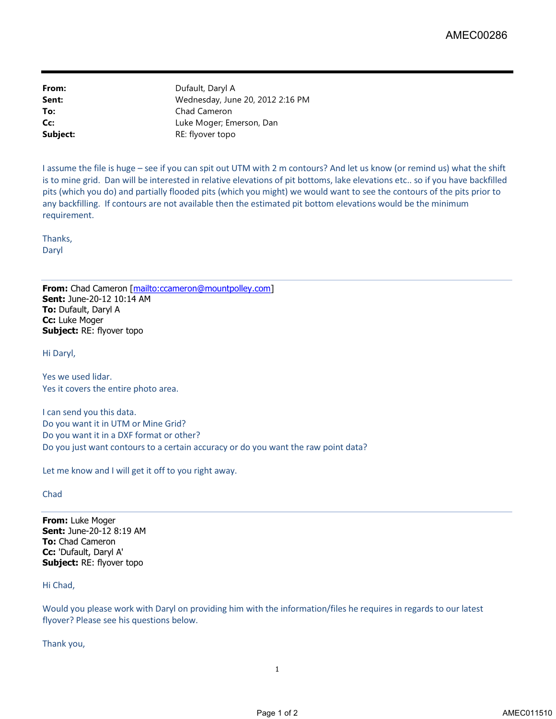**From:** Dufault, Daryl A **To:** Chad Cameron **Subject:** RE: flyover topo

**Sent:** Wednesday, June 20, 2012 2:16 PM **Cc:** Luke Moger; Emerson, Dan

I assume the file is huge – see if you can spit out UTM with 2 m contours? And let us know (or remind us) what the shift is to mine grid. Dan will be interested in relative elevations of pit bottoms, lake elevations etc.. so if you have backfilled pits (which you do) and partially flooded pits (which you might) we would want to see the contours of the pits prior to any backfilling. If contours are not available then the estimated pit bottom elevations would be the minimum requirement.

Thanks, Daryl

**From:** Chad Cameron [mailto:ccameron@mountpolley.com] **Sent:** June-20-12 10:14 AM **To:** Dufault, Daryl A **Cc:** Luke Moger **Subject:** RE: flyover topo

Hi Daryl,

Yes we used lidar. Yes it covers the entire photo area.

I can send you this data. Do you want it in UTM or Mine Grid? Do you want it in a DXF format or other? Do you just want contours to a certain accuracy or do you want the raw point data?

Let me know and I will get it off to you right away.

## Chad

**From:** Luke Moger **Sent:** June-20-12 8:19 AM **To:** Chad Cameron **Cc:** 'Dufault, Daryl A' **Subject:** RE: flyover topo

## Hi Chad,

Would you please work with Daryl on providing him with the information/files he requires in regards to our latest flyover? Please see his questions below.

Thank you,